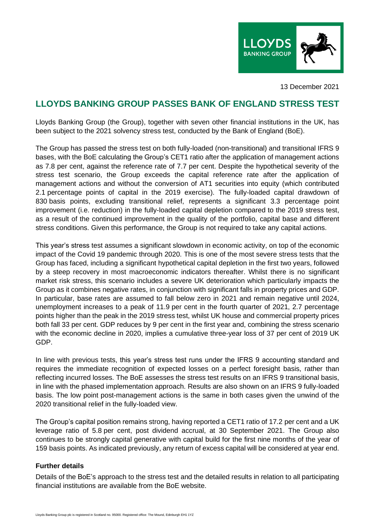

13 December 2021

## **LLOYDS BANKING GROUP PASSES BANK OF ENGLAND STRESS TEST**

Lloyds Banking Group (the Group), together with seven other financial institutions in the UK, has been subject to the 2021 solvency stress test, conducted by the Bank of England (BoE).

The Group has passed the stress test on both fully-loaded (non-transitional) and transitional IFRS 9 bases, with the BoE calculating the Group's CET1 ratio after the application of management actions as 7.8 per cent, against the reference rate of 7.7 per cent. Despite the hypothetical severity of the stress test scenario, the Group exceeds the capital reference rate after the application of management actions and without the conversion of AT1 securities into equity (which contributed 2.1 percentage points of capital in the 2019 exercise). The fully-loaded capital drawdown of 830 basis points, excluding transitional relief, represents a significant 3.3 percentage point improvement (i.e. reduction) in the fully-loaded capital depletion compared to the 2019 stress test, as a result of the continued improvement in the quality of the portfolio, capital base and different stress conditions. Given this performance, the Group is not required to take any capital actions.

This year's stress test assumes a significant slowdown in economic activity, on top of the economic impact of the Covid 19 pandemic through 2020. This is one of the most severe stress tests that the Group has faced, including a significant hypothetical capital depletion in the first two years, followed by a steep recovery in most macroeconomic indicators thereafter. Whilst there is no significant market risk stress, this scenario includes a severe UK deterioration which particularly impacts the Group as it combines negative rates, in conjunction with significant falls in property prices and GDP. In particular, base rates are assumed to fall below zero in 2021 and remain negative until 2024, unemployment increases to a peak of 11.9 per cent in the fourth quarter of 2021, 2.7 percentage points higher than the peak in the 2019 stress test, whilst UK house and commercial property prices both fall 33 per cent. GDP reduces by 9 per cent in the first year and, combining the stress scenario with the economic decline in 2020, implies a cumulative three-year loss of 37 per cent of 2019 UK GDP.

In line with previous tests, this year's stress test runs under the IFRS 9 accounting standard and requires the immediate recognition of expected losses on a perfect foresight basis, rather than reflecting incurred losses. The BoE assesses the stress test results on an IFRS 9 transitional basis, in line with the phased implementation approach. Results are also shown on an IFRS 9 fully-loaded basis. The low point post-management actions is the same in both cases given the unwind of the 2020 transitional relief in the fully-loaded view.

The Group's capital position remains strong, having reported a CET1 ratio of 17.2 per cent and a UK leverage ratio of 5.8 per cent, post dividend accrual, at 30 September 2021. The Group also continues to be strongly capital generative with capital build for the first nine months of the year of 159 basis points. As indicated previously, any return of excess capital will be considered at year end.

## **Further details**

Details of the BoE's approach to the stress test and the detailed results in relation to all participating financial institutions are available from the BoE website.